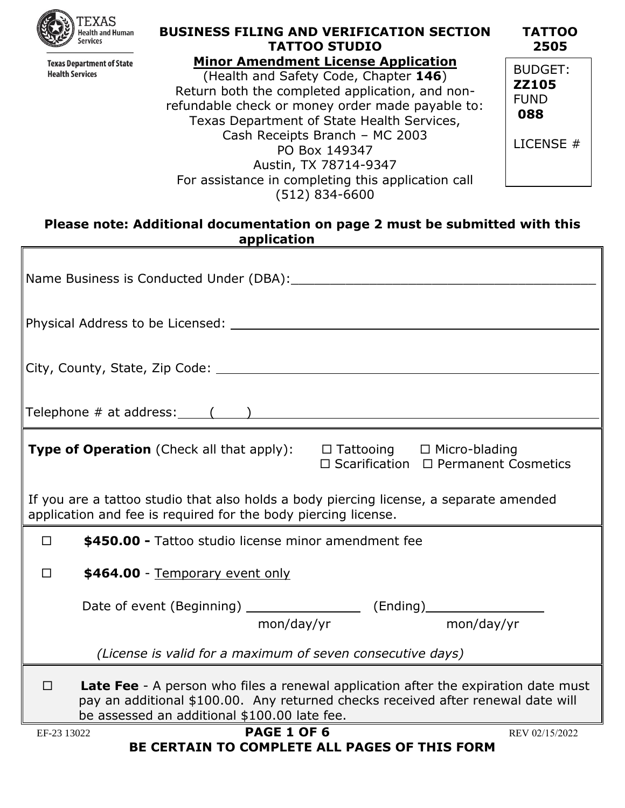

**Texas Department of State Health Services** 

# **BUSINESS FILING AND VERIFICATION SECTION TATTOO STUDIO**

**Minor Amendment License Application** (Health and Safety Code, Chapter **146**) Return both the completed application, and nonrefundable check or money order made payable to: Texas Department of State Health Services, Cash Receipts Branch – MC 2003 PO Box 149347 Austin, TX 78714-9347 For assistance in completing this application call (512) 834-6600

**TATTOO 2505** BUDGET: **ZZ105** FUND **088**

LICENSE #

#### **Please note: Additional documentation on page 2 must be submitted with this application**

| Physical Address to be Licensed: Note that the set of the set of the set of the set of the set of the set of the set of the set of the set of the set of the set of the set of the set of the set of the set of the set of the     |  |  |
|------------------------------------------------------------------------------------------------------------------------------------------------------------------------------------------------------------------------------------|--|--|
|                                                                                                                                                                                                                                    |  |  |
|                                                                                                                                                                                                                                    |  |  |
| <b>Type of Operation</b> (Check all that apply): $\Box$ Tattooing $\Box$ Micro-blading<br>$\Box$ Scarification $\Box$ Permanent Cosmetics                                                                                          |  |  |
| If you are a tattoo studio that also holds a body piercing license, a separate amended<br>application and fee is required for the body piercing license.                                                                           |  |  |
| \$450.00 - Tattoo studio license minor amendment fee<br>$\Box$                                                                                                                                                                     |  |  |
| \$464.00 - Temporary event only<br>П                                                                                                                                                                                               |  |  |
| Date of event (Beginning) ______________________ (Ending)_______________________<br>mon/day/yr mon/day/yr                                                                                                                          |  |  |
| (License is valid for a maximum of seven consecutive days)                                                                                                                                                                         |  |  |
| <b>Late Fee</b> - A person who files a renewal application after the expiration date must<br>П<br>pay an additional \$100.00. Any returned checks received after renewal date will<br>be assessed an additional \$100.00 late fee. |  |  |
| <b>PAGE 1 OF 6</b><br>EF-23 13022<br>REV 02/15/2022<br><b>BE CERTAIN TO COMPLETE ALL PAGES OF THIS FORM</b>                                                                                                                        |  |  |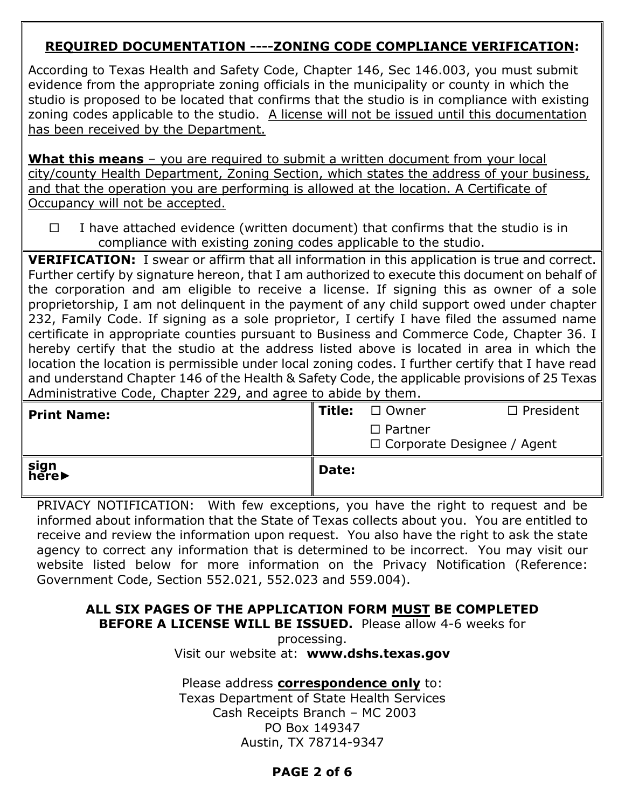# **REQUIRED DOCUMENTATION ----ZONING CODE COMPLIANCE VERIFICATION:**

According to Texas Health and Safety Code, Chapter 146, Sec 146.003, you must submit evidence from the appropriate zoning officials in the municipality or county in which the studio is proposed to be located that confirms that the studio is in compliance with existing zoning codes applicable to the studio. A license will not be issued until this documentation has been received by the Department.

**What this means** – you are required to submit a written document from your local city/county Health Department, Zoning Section, which states the address of your business, and that the operation you are performing is allowed at the location. A Certificate of Occupancy will not be accepted.

 $\Box$  I have attached evidence (written document) that confirms that the studio is in compliance with existing zoning codes applicable to the studio.

**VERIFICATION:** I swear or affirm that all information in this application is true and correct. Further certify by signature hereon, that I am authorized to execute this document on behalf of the corporation and am eligible to receive a license. If signing this as owner of a sole proprietorship, I am not delinquent in the payment of any child support owed under chapter 232, Family Code. If signing as a sole proprietor, I certify I have filed the assumed name certificate in appropriate counties pursuant to Business and Commerce Code, Chapter 36. I hereby certify that the studio at the address listed above is located in area in which the location the location is permissible under local zoning codes. I further certify that I have read and understand Chapter 146 of the Health & Safety Code, the applicable provisions of 25 Texas Administrative Code, Chapter 229, and agree to abide by them.

| <b>Print Name:</b> | Title: | $\Box$ Owner<br>$\Box$ Partner<br>$\Box$ Corporate Designee / Agent | $\Box$ President |
|--------------------|--------|---------------------------------------------------------------------|------------------|
| sign<br>here▶      | Date:  |                                                                     |                  |

PRIVACY NOTIFICATION: With few exceptions, you have the right to request and be informed about information that the State of Texas collects about you. You are entitled to receive and review the information upon request. You also have the right to ask the state agency to correct any information that is determined to be incorrect. You may visit our website listed below for more information on the Privacy Notification (Reference: Government Code, Section 552.021, 552.023 and 559.004).

#### **ALL SIX PAGES OF THE APPLICATION FORM MUST BE COMPLETED BEFORE A LICENSE WILL BE ISSUED.** Please allow 4-6 weeks for

processing. Visit our website at: **www.dshs.texas.gov**

Please address **correspondence only** to:

Texas Department of State Health Services Cash Receipts Branch – MC 2003 PO Box 149347 Austin, TX 78714-9347

## **PAGE 2 of 6**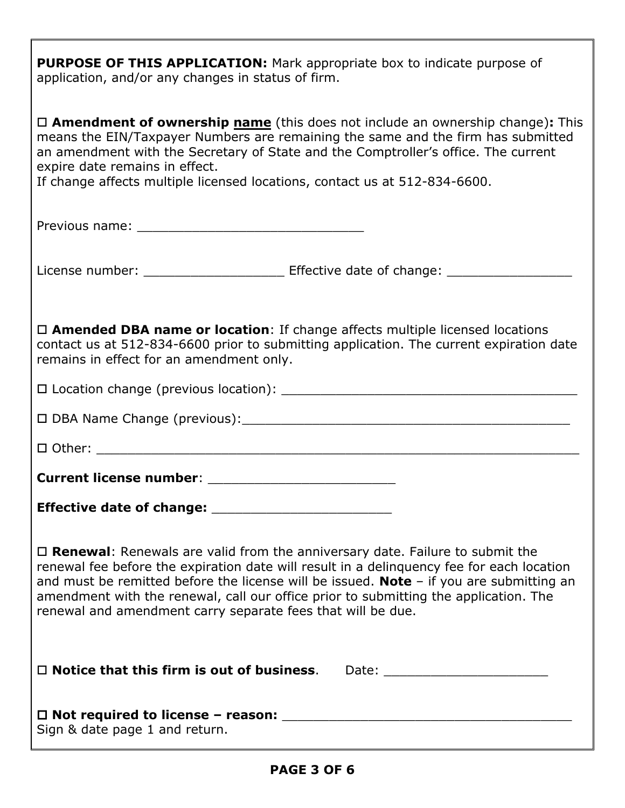**PURPOSE OF THIS APPLICATION:** Mark appropriate box to indicate purpose of application, and/or any changes in status of firm.

| $\Box$ <b>Amendment of ownership name</b> (this does not include an ownership change): This<br>means the EIN/Taxpayer Numbers are remaining the same and the firm has submitted<br>an amendment with the Secretary of State and the Comptroller's office. The current<br>expire date remains in effect.<br>If change affects multiple licensed locations, contact us at 512-834-6600.                                                       |
|---------------------------------------------------------------------------------------------------------------------------------------------------------------------------------------------------------------------------------------------------------------------------------------------------------------------------------------------------------------------------------------------------------------------------------------------|
|                                                                                                                                                                                                                                                                                                                                                                                                                                             |
|                                                                                                                                                                                                                                                                                                                                                                                                                                             |
| $\Box$ Amended DBA name or location: If change affects multiple licensed locations<br>contact us at 512-834-6600 prior to submitting application. The current expiration date<br>remains in effect for an amendment only.                                                                                                                                                                                                                   |
|                                                                                                                                                                                                                                                                                                                                                                                                                                             |
|                                                                                                                                                                                                                                                                                                                                                                                                                                             |
|                                                                                                                                                                                                                                                                                                                                                                                                                                             |
|                                                                                                                                                                                                                                                                                                                                                                                                                                             |
|                                                                                                                                                                                                                                                                                                                                                                                                                                             |
| $\Box$ Renewal: Renewals are valid from the anniversary date. Failure to submit the<br>renewal fee before the expiration date will result in a delinquency fee for each location<br>and must be remitted before the license will be issued. <b>Note</b> $-$ if you are submitting an<br>amendment with the renewal, call our office prior to submitting the application. The<br>renewal and amendment carry separate fees that will be due. |
| $\Box$ Notice that this firm is out of business.<br>Date: ____________________________                                                                                                                                                                                                                                                                                                                                                      |
| Sign & date page 1 and return.                                                                                                                                                                                                                                                                                                                                                                                                              |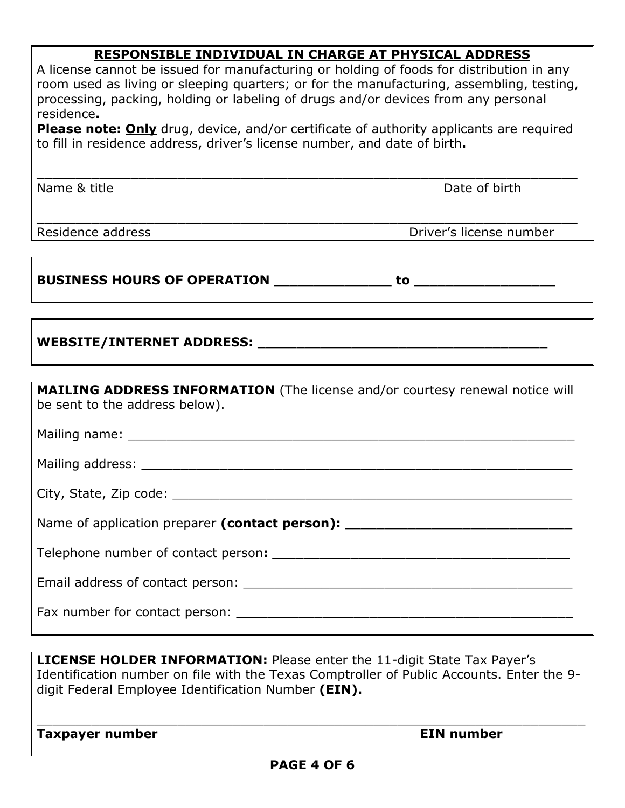## **RESPONSIBLE INDIVIDUAL IN CHARGE AT PHYSICAL ADDRESS**

| A license cannot be issued for manufacturing or holding of foods for distribution in any       |
|------------------------------------------------------------------------------------------------|
| room used as living or sleeping quarters; or for the manufacturing, assembling, testing,       |
| processing, packing, holding or labeling of drugs and/or devices from any personal             |
| residence.                                                                                     |
| <b>Please note: Only</b> drug, device, and/or certificate of authority applicants are required |
| to fill in residence address, driver's license number, and date of birth.                      |

\_\_\_\_\_\_\_\_\_\_\_\_\_\_\_\_\_\_\_\_\_\_\_\_\_\_\_\_\_\_\_\_\_\_\_\_\_\_\_\_\_\_\_\_\_\_\_\_\_\_\_\_\_\_\_\_\_\_\_\_\_\_\_\_\_\_\_\_\_

Name & title **Name & title** Date of birth

\_\_\_\_\_\_\_\_\_\_\_\_\_\_\_\_\_\_\_\_\_\_\_\_\_\_\_\_\_\_\_\_\_\_\_\_\_\_\_\_\_\_\_\_\_\_\_\_\_\_\_\_\_\_\_\_\_\_\_\_\_\_\_\_\_\_\_\_\_

**Driver's license number** 

#### **BUSINESS HOURS OF OPERATION** \_\_\_\_\_\_\_\_\_\_\_\_\_\_\_ **to** \_\_\_\_\_\_\_\_\_\_\_\_\_\_\_\_\_\_

## **WEBSITE/INTERNET ADDRESS:** \_\_\_\_\_\_\_\_\_\_\_\_\_\_\_\_\_\_\_\_\_\_\_\_\_\_\_\_\_\_\_\_\_\_\_\_\_

| <b>MAILING ADDRESS INFORMATION</b> (The license and/or courtesy renewal notice will<br>be sent to the address below). |
|-----------------------------------------------------------------------------------------------------------------------|
|                                                                                                                       |
|                                                                                                                       |
|                                                                                                                       |
| Name of application preparer (contact person):                                                                        |
|                                                                                                                       |
|                                                                                                                       |
|                                                                                                                       |

**LICENSE HOLDER INFORMATION:** Please enter the 11-digit State Tax Payer's Identification number on file with the Texas Comptroller of Public Accounts. Enter the 9 digit Federal Employee Identification Number **(EIN).**

\_\_\_\_\_\_\_\_\_\_\_\_\_\_\_\_\_\_\_\_\_\_\_\_\_\_\_\_\_\_\_\_\_\_\_\_\_\_\_\_\_\_\_\_\_\_\_\_\_\_\_\_\_\_\_\_\_\_\_\_\_\_\_\_\_\_\_\_\_\_

**Taxpayer number Community Community Community Community Community Community Community Community Community Community**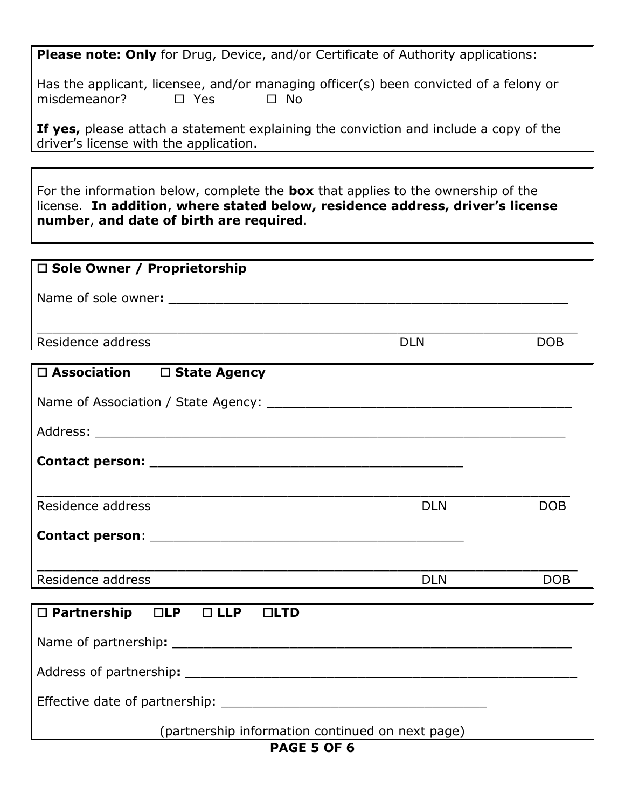**Please note: Only** for Drug, Device, and/or Certificate of Authority applications:

Has the applicant, licensee, and/or managing officer(s) been convicted of a felony or misdemeanor?  $\square$  Yes  $\square$  No

**If yes,** please attach a statement explaining the conviction and include a copy of the driver's license with the application.

For the information below, complete the **box** that applies to the ownership of the license. **In addition**, **where stated below, residence address, driver's license number**, **and date of birth are required**.

| $\Box$ Sole Owner / Proprietorship                            |            |            |
|---------------------------------------------------------------|------------|------------|
| Name of sole owner:                                           |            |            |
| Residence address                                             | <b>DLN</b> | <b>DOB</b> |
| $\Box$ A $\Box$ $\Box$ $\Box$ $\Box$<br>$\Box$ Clats Assessed |            |            |

| $\Box$ Association $\Box$ State Agency                 |            |            |
|--------------------------------------------------------|------------|------------|
|                                                        |            |            |
|                                                        |            |            |
|                                                        |            |            |
| Residence address                                      | <b>DLN</b> | <b>DOB</b> |
|                                                        |            |            |
|                                                        |            |            |
| Residence address                                      | <b>DLN</b> | <b>DOB</b> |
|                                                        |            |            |
| $\Box$ Partnership $\Box$ LP $\Box$ LLP<br>LID         |            |            |
| Name of partnership: example and a set of partnership: |            |            |
| Address of partnership:                                |            |            |

Effective date of partnership: **Example 2018** 

(partnership information continued on next page)

### **PAGE 5 OF 6**